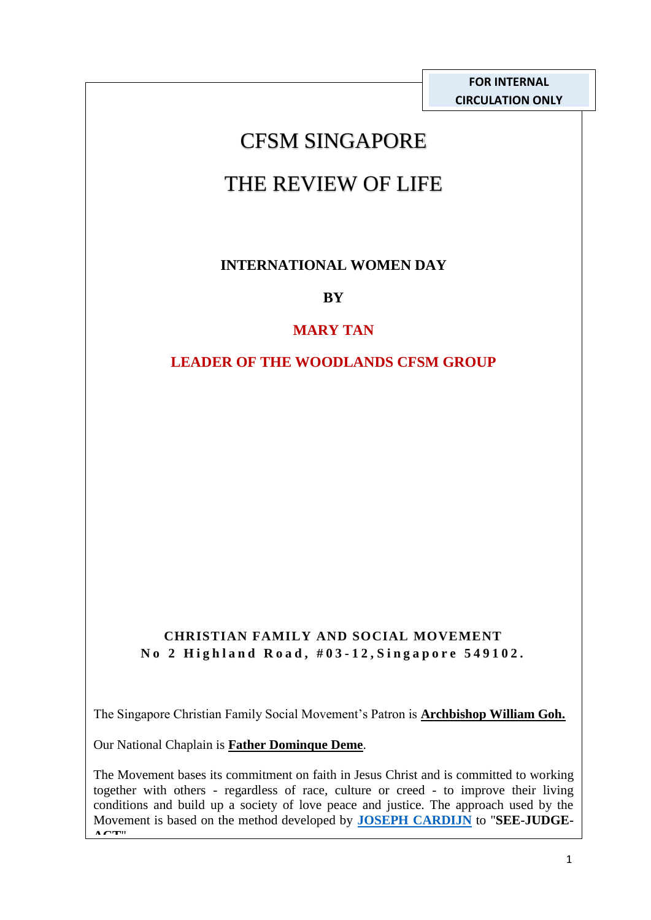**FOR INTERNAL CIRCULATION ONLY**

# CFSM SINGAPORE

# THE REVIEW OF LIFE

# **INTERNATIONAL WOMEN DAY**

**BY** 

# **MARY TAN**

### **LEADER OF THE WOODLANDS CFSM GROUP**

#### **CHRISTIAN FAMILY AND SOCIAL MOVEMENT N o 2 H i g h l a n d R o a d , # 0 3 - 12, S i n g a p o r e 5 4 9 1 0 2 .**

The Singapore Christian Family Social Movement's Patron is **Archbishop William Goh.**

Our National Chaplain is **Father Dominque Deme**.

The Movement bases its commitment on faith in Jesus Christ and is committed to working together with others - regardless of race, culture or creed - to improve their living conditions and build up a society of love peace and justice. The approach used by the Movement is based on the method developed by **[JOSEPH CARDIJN](https://en.wikipedia.org/wiki/Joseph_Cardijn)** to "**SEE-JUDGE-ACT**".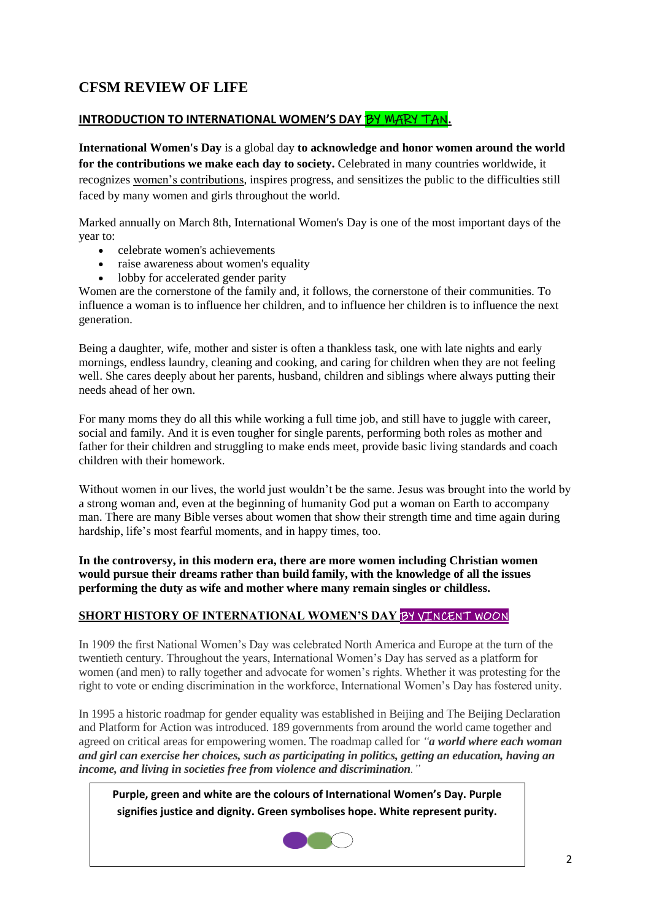#### **CFSM REVIEW OF LIFE**

#### **INTRODUCTION TO INTERNATIONAL WOMEN'S DAY** BY MARY TAN**.**

**International Women's Day** is a global day **to acknowledge and honor women around the world**  for the contributions we make each day to society. Celebrated in many countries worldwide, it recognizes [women's contributions,](https://www.csmonitor.com/World/Global-Issues/2011/1230/Seven-women-who-shaped-the-world-in-2011/Angela-Merkel-chancellor-of-Germany) inspires progress, and sensitizes the public to the difficulties still faced by many women and girls throughout the world.

Marked annually on March 8th, International Women's Day is one of the most important days of the year to:

- celebrate women's achievements
- raise awareness about women's equality
- lobby for accelerated gender parity

Women are the cornerstone of the family and, it follows, the cornerstone of their communities. To influence a woman is to influence her children, and to influence her children is to influence the next generation.

Being a daughter, wife, mother and sister is often a thankless task, one with late nights and early mornings, endless laundry, cleaning and cooking, and caring for children when they are not feeling well. She cares deeply about her parents, husband, children and siblings where always putting their needs ahead of her own.

For many moms they do all this while working a full time job, and still have to juggle with career, social and family. And it is even tougher for single parents, performing both roles as mother and father for their children and struggling to make ends meet, provide basic living standards and coach children with their homework.

Without women in our lives, the world just wouldn't be the same. Jesus was brought into the world by a strong woman and, even at the beginning of humanity God put a woman on Earth to accompany man. There are many Bible verses about women that show their strength time and time again during hardship, life's most fearful moments, and in happy times, too.

**In the controversy, in this modern era, there are more women including Christian women would pursue their dreams rather than build family, with the knowledge of all the issues performing the duty as wife and mother where many remain singles or childless.**

#### **SHORT HISTORY OF INTERNATIONAL WOMEN'S DAY** BY VINCENT WOON

In 1909 the first National Women's Day was celebrated North America and Europe at the turn of the twentieth century. Throughout the years, International Women's Day has served as a platform for women (and men) to rally together and advocate for women's rights. Whether it was protesting for the right to vote or ending discrimination in the workforce, International Women's Day has fostered unity.

In 1995 a historic roadmap for gender equality was established in Beijing and [The Beijing Declaration](http://www.un.org/womenwatch/daw/beijing/pdf/BDPfA%20E.pdf)  [and Platform for Action](http://www.un.org/womenwatch/daw/beijing/pdf/BDPfA%20E.pdf) was introduced. 189 governments from around the world came together and agreed on critical areas for empowering women. The roadmap called for *"a world where each woman and girl can exercise her choices, such as participating in politics, getting an education, having an income, and living in societies free from violence and discrimination."*

**Purple, green and white are the colours of International Women's Day. Purple signifies justice and dignity. Green symbolises hope. White represent purity.** 

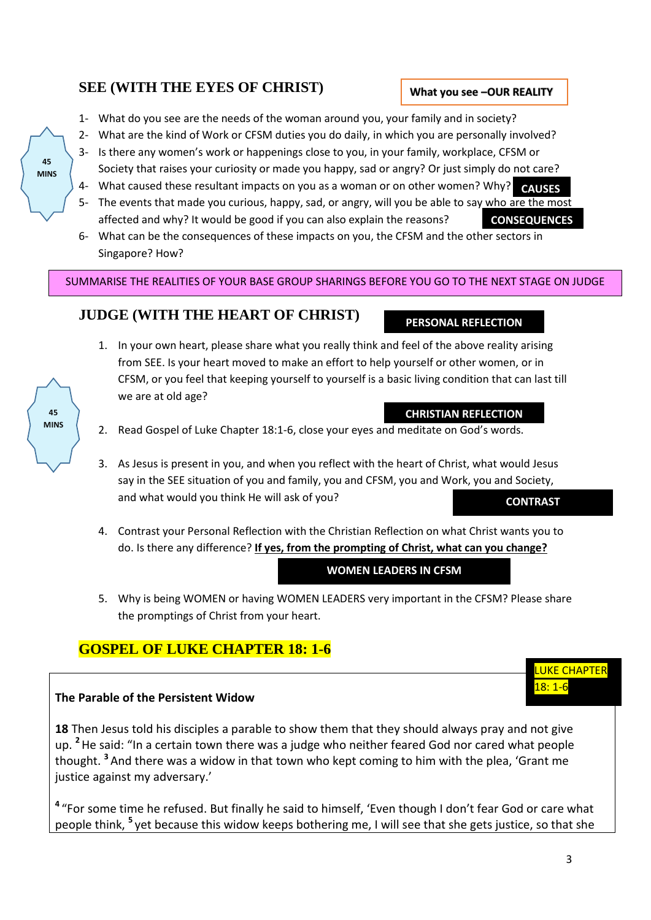#### **SEE (WITH THE EYES OF CHRIST)**

- 1- What do you see are the needs of the woman around you, your family and in society?
- 2- What are the kind of Work or CFSM duties you do daily, in which you are personally involved?
- 3- Is there any women's work or happenings close to you, in your family, workplace, CFSM or Society that raises your curiosity or made you happy, sad or angry? Or just simply do not care?
- 4- What caused these resultant impacts on you as a woman or on other women? Why? **CAUSES**
- 5- The events that made you curious, happy, sad, or angry, will you be able to say who are the most affected and why? It would be good if you can also explain the reasons? **CONSEQUENCES**
- 6- What can be the consequences of these impacts on you, the CFSM and the other sectors in Singapore? How?

SUMMARISE THE REALITIES OF YOUR BASE GROUP SHARINGS BEFORE YOU GO TO THE NEXT STAGE ON JUDGE

### **JUDGE (WITH THE HEART OF CHRIST)**

- 1. In your own heart, please share what you really think and feel of the above reality arising from SEE. Is your heart moved to make an effort to help yourself or other women, or in CFSM, or you feel that keeping yourself to yourself is a basic living condition that can last till we are at old age?
- 2. Read Gospel of Luke Chapter 18:1-6, close your eyes and meditate on God's words.
- 3. As Jesus is present in you, and when you reflect with the heart of Christ, what would Jesus say in the SEE situation of you and family, you and CFSM, you and Work, you and Society, and what would you think He will ask of you? **CONTRAST**
- 4. Contrast your Personal Reflection with the Christian Reflection on what Christ wants you to do. Is there any difference? **If yes, from the prompting of Christ, what can you change?**

**WOMEN LEADERS IN CFSM**

5. Why is being WOMEN or having WOMEN LEADERS very important in the CFSM? Please share the promptings of Christ from your heart.

# **GOSPEL OF LUKE CHAPTER 18: 1-6**

#### **The Parable of the Persistent Widow**

**18** Then Jesus told his disciples a parable to show them that they should always pray and not give up. **<sup>2</sup>**He said: "In a certain town there was a judge who neither feared God nor cared what people thought. **<sup>3</sup>** And there was a widow in that town who kept coming to him with the plea, 'Grant me justice against my adversary.'

**4** "For some time he refused. But finally he said to himself, 'Even though I don't fear God or care what people think, <sup>5</sup> yet because this widow keeps bothering me, I will see that she gets justice, so that she





**45 MINS**

#### **What you see –OUR REALITY**

**PERSONAL REFLECTION**

**CHRISTIAN REFLECTION**

**UKE CHAPTER** 

18: 1-6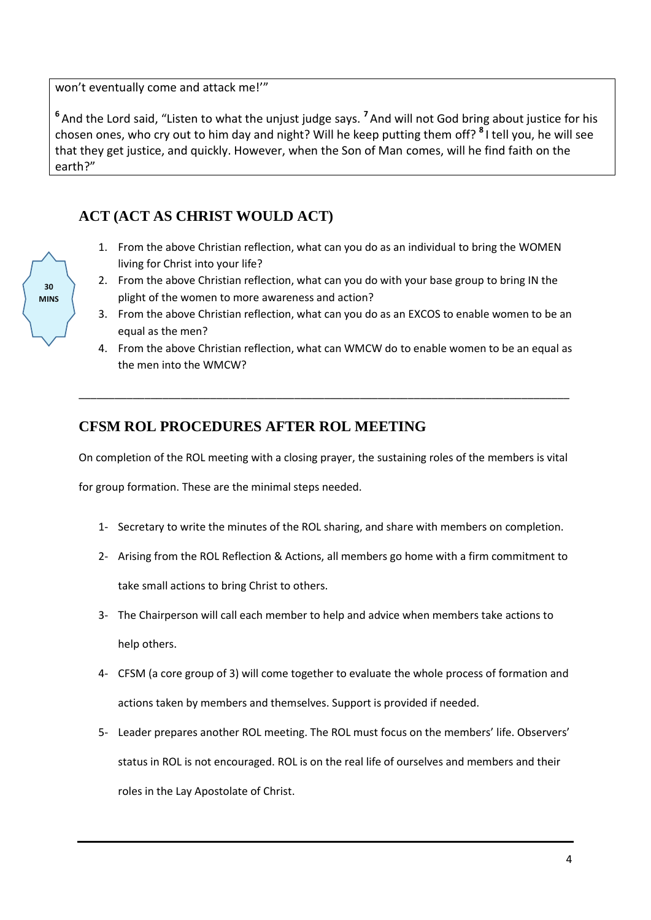won't eventually come and attack me!'"

<sup>6</sup> And the Lord said, "Listen to what the unjust judge says. <sup>7</sup> And will not God bring about justice for his chosen ones, who cry out to him day and night? Will he keep putting them off? **<sup>8</sup>** I tell you, he will see that they get justice, and quickly. However, when the Son of Man comes, will he find faith on the earth?"

# **ACT (ACT AS CHRIST WOULD ACT)**

- 1. From the above Christian reflection, what can you do as an individual to bring the WOMEN living for Christ into your life?
- 2. From the above Christian reflection, what can you do with your base group to bring IN the plight of the women to more awareness and action?
- 3. From the above Christian reflection, what can you do as an EXCOS to enable women to be an equal as the men?
- 4. From the above Christian reflection, what can WMCW do to enable women to be an equal as the men into the WMCW?

### **CFSM ROL PROCEDURES AFTER ROL MEETING**

On completion of the ROL meeting with a closing prayer, the sustaining roles of the members is vital

\_\_\_\_\_\_\_\_\_\_\_\_\_\_\_\_\_\_\_\_\_\_\_\_\_\_\_\_\_\_\_\_\_\_\_\_\_\_\_\_\_\_\_\_\_\_\_\_\_\_\_\_\_\_\_\_\_\_\_\_\_\_\_\_\_\_\_\_\_\_\_\_\_\_\_\_\_\_\_\_\_\_

for group formation. These are the minimal steps needed.

- 1- Secretary to write the minutes of the ROL sharing, and share with members on completion.
- 2- Arising from the ROL Reflection & Actions, all members go home with a firm commitment to take small actions to bring Christ to others.
- 3- The Chairperson will call each member to help and advice when members take actions to help others.
- 4- CFSM (a core group of 3) will come together to evaluate the whole process of formation and actions taken by members and themselves. Support is provided if needed.
- 5- Leader prepares another ROL meeting. The ROL must focus on the members' life. Observers' status in ROL is not encouraged. ROL is on the real life of ourselves and members and their roles in the Lay Apostolate of Christ.